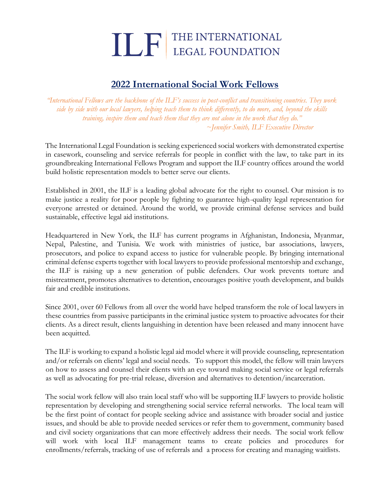## **THE INTERNATIONAL**

## **2022 International Social Work Fellows**

*"International Fellows are the backbone of the ILF's success in post-conflict and transitioning countries. They work side by side with our local lawyers, helping teach them to think differently, to do more, and, beyond the skills training, inspire them and teach them that they are not alone in the work that they do." ~Jennifer Smith, ILF Executive Director*

The International Legal Foundation is seeking experienced social workers with demonstrated expertise in casework, counseling and service referrals for people in conflict with the law, to take part in its groundbreaking International Fellows Program and support the ILF country offices around the world build holistic representation models to better serve our clients.

Established in 2001, the ILF is a leading global advocate for the right to counsel. Our mission is to make justice a reality for poor people by fighting to guarantee high-quality legal representation for everyone arrested or detained. Around the world, we provide criminal defense services and build sustainable, effective legal aid institutions.

Headquartered in New York, the ILF has current programs in Afghanistan, Indonesia, Myanmar, Nepal, Palestine, and Tunisia. We work with ministries of justice, bar associations, lawyers, prosecutors, and police to expand access to justice for vulnerable people. By bringing international criminal defense experts together with local lawyers to provide professional mentorship and exchange, the ILF is raising up a new generation of public defenders. Our work prevents torture and mistreatment, promotes alternatives to detention, encourages positive youth development, and builds fair and credible institutions.

Since 2001, over 60 Fellows from all over the world have helped transform the role of local lawyers in these countries from passive participants in the criminal justice system to proactive advocates for their clients. As a direct result, clients languishing in detention have been released and many innocent have been acquitted.

The ILF is working to expand a holistic legal aid model where it will provide counseling, representation and/or referrals on clients' legal and social needs. To support this model, the fellow will train lawyers on how to assess and counsel their clients with an eye toward making social service or legal referrals as well as advocating for pre-trial release, diversion and alternatives to detention/incarceration.

The social work fellow will also train local staff who will be supporting ILF lawyers to provide holistic representation by developing and strengthening social service referral networks. The local team will be the first point of contact for people seeking advice and assistance with broader social and justice issues, and should be able to provide needed services or refer them to government, community based and civil society organizations that can more effectively address their needs. The social work fellow will work with local ILF management teams to create policies and procedures for enrollments/referrals, tracking of use of referrals and a process for creating and managing waitlists.